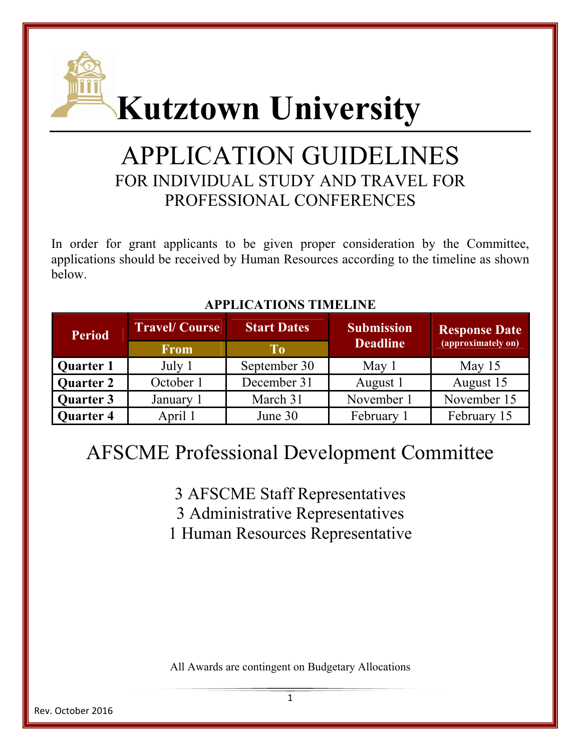

# APPLICATION GUIDELINES FOR INDIVIDUAL STUDY AND TRAVEL FOR PROFESSIONAL CONFERENCES

In order for grant applicants to be given proper consideration by the Committee, applications should be received by Human Resources according to the timeline as shown below.

| <b>Period</b>    | <b>Travel/Course</b> | <b>Start Dates</b> | <b>Submission</b><br><b>Deadline</b> | <b>Response Date</b><br>(approximately on) |
|------------------|----------------------|--------------------|--------------------------------------|--------------------------------------------|
|                  | <b>From</b>          | Tо                 |                                      |                                            |
| <b>Quarter 1</b> | July 1               | September 30       | May 1                                | May $15$                                   |
| <b>Quarter 2</b> | October 1            | December 31        | August 1                             | August 15                                  |
| Quarter 3        | January 1            | March 31           | November 1                           | November 15                                |
| <b>Quarter 4</b> | April 1              | June 30            | February 1                           | February 15                                |

### **APPLICATIONS TIMELINE**

## AFSCME Professional Development Committee

3 AFSCME Staff Representatives

3 Administrative Representatives

1 Human Resources Representative

All Awards are contingent on Budgetary Allocations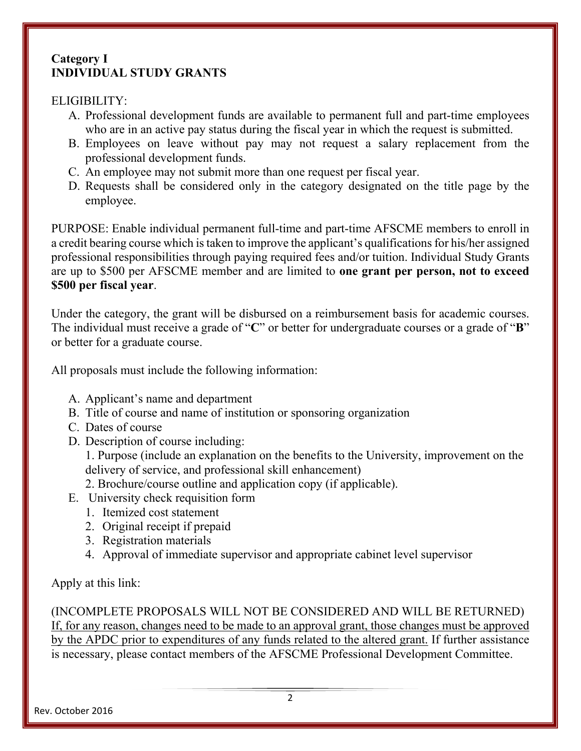#### **Category I INDIVIDUAL STUDY GRANTS**

#### ELIGIBILITY:

- A. Professional development funds are available to permanent full and part-time employees who are in an active pay status during the fiscal year in which the request is submitted.
- B. Employees on leave without pay may not request a salary replacement from the professional development funds.
- C. An employee may not submit more than one request per fiscal year.
- D. Requests shall be considered only in the category designated on the title page by the employee.

PURPOSE: Enable individual permanent full-time and part-time AFSCME members to enroll in a credit bearing course which is taken to improve the applicant's qualifications for his/her assigned professional responsibilities through paying required fees and/or tuition. Individual Study Grants are up to \$500 per AFSCME member and are limited to **one grant per person, not to exceed \$500 per fiscal year**.

Under the category, the grant will be disbursed on a reimbursement basis for academic courses. The individual must receive a grade of "**C**" or better for undergraduate courses or a grade of "**B**" or better for a graduate course.

All proposals must include the following information:

- A. Applicant's name and department
- B. Title of course and name of institution or sponsoring organization
- C. Dates of course
- D. Description of course including:

1. Purpose (include an explanation on the benefits to the University, improvement on the delivery of service, and professional skill enhancement)

2. Brochure/course outline and application copy (if applicable).

- E. University check requisition form
	- 1. Itemized cost statement
	- 2. Original receipt if prepaid
	- 3. Registration materials
	- 4. Approval of immediate supervisor and appropriate cabinet level supervisor

### Apply at this link:

(INCOMPLETE PROPOSALS WILL NOT BE CONSIDERED AND WILL BE RETURNED) If, for any reason, changes need to be made to an approval grant, those changes must be approved by the APDC prior to expenditures of any funds related to the altered grant. If further assistance is necessary, please contact members of the AFSCME Professional Development Committee.